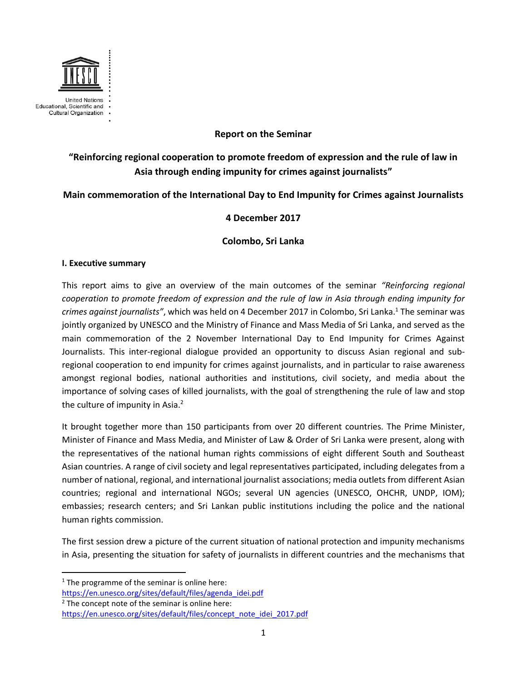

# **Report on the Seminar**

# **"Reinforcing regional cooperation to promote freedom of expression and the rule of law in Asia through ending impunity for crimes against journalists"**

# **Main commemoration of the International Day to End Impunity for Crimes against Journalists**

# **4 December 2017**

# **Colombo, Sri Lanka**

### **I. Executive summary**

This report aims to give an overview of the main outcomes of the seminar *"Reinforcing regional cooperation to promote freedom of expression and the rule of law in Asia through ending impunity for crimes against journalists"*, which was held on 4 December 2017 in Colombo, Sri Lanka. <sup>1</sup> The seminar was jointly organized by UNESCO and the Ministry of Finance and Mass Media of Sri Lanka, and served as the main commemoration of the 2 November International Day to End Impunity for Crimes Against Journalists. This inter-regional dialogue provided an opportunity to discuss Asian regional and subregional cooperation to end impunity for crimes against journalists, and in particular to raise awareness amongst regional bodies, national authorities and institutions, civil society, and media about the importance of solving cases of killed journalists, with the goal of strengthening the rule of law and stop the culture of impunity in Asia.<sup>2</sup>

It brought together more than 150 participants from over 20 different countries. The Prime Minister, Minister of Finance and Mass Media, and Minister of Law & Order of Sri Lanka were present, along with the representatives of the national human rights commissions of eight different South and Southeast Asian countries. A range of civil society and legal representatives participated, including delegates from a number of national, regional, and international journalist associations; media outlets from different Asian countries; regional and international NGOs; several UN agencies (UNESCO, OHCHR, UNDP, IOM); embassies; research centers; and Sri Lankan public institutions including the police and the national human rights commission.

The first session drew a picture of the current situation of national protection and impunity mechanisms in Asia, presenting the situation for safety of journalists in different countries and the mechanisms that

l

 $1$  The programme of the seminar is online here:

[https://en.unesco.org/sites/default/files/agenda\\_idei.pdf](https://en.unesco.org/sites/default/files/agenda_idei.pdf) 

 $2$  The concept note of the seminar is online here:

[https://en.unesco.org/sites/default/files/concept\\_note\\_idei\\_2017.pdf](https://en.unesco.org/sites/default/files/concept_note_idei_2017.pdf)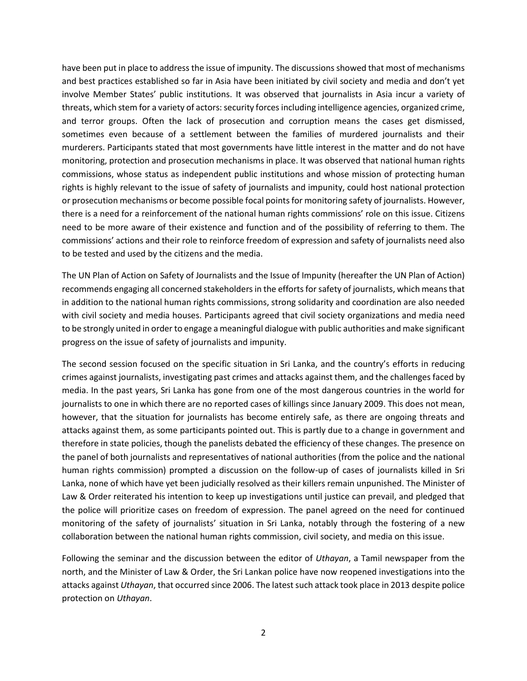have been put in place to address the issue of impunity. The discussions showed that most of mechanisms and best practices established so far in Asia have been initiated by civil society and media and don't yet involve Member States' public institutions. It was observed that journalists in Asia incur a variety of threats, which stem for a variety of actors: security forces including intelligence agencies, organized crime, and terror groups. Often the lack of prosecution and corruption means the cases get dismissed, sometimes even because of a settlement between the families of murdered journalists and their murderers. Participants stated that most governments have little interest in the matter and do not have monitoring, protection and prosecution mechanisms in place. It was observed that national human rights commissions, whose status as independent public institutions and whose mission of protecting human rights is highly relevant to the issue of safety of journalists and impunity, could host national protection or prosecution mechanisms or become possible focal pointsfor monitoring safety of journalists. However, there is a need for a reinforcement of the national human rights commissions' role on this issue. Citizens need to be more aware of their existence and function and of the possibility of referring to them. The commissions' actions and their role to reinforce freedom of expression and safety of journalists need also to be tested and used by the citizens and the media.

The UN Plan of Action on Safety of Journalists and the Issue of Impunity (hereafter the UN Plan of Action) recommends engaging all concerned stakeholders in the efforts for safety of journalists, which means that in addition to the national human rights commissions, strong solidarity and coordination are also needed with civil society and media houses. Participants agreed that civil society organizations and media need to be strongly united in order to engage a meaningful dialogue with public authorities and make significant progress on the issue of safety of journalists and impunity.

The second session focused on the specific situation in Sri Lanka, and the country's efforts in reducing crimes against journalists, investigating past crimes and attacks against them, and the challenges faced by media. In the past years, Sri Lanka has gone from one of the most dangerous countries in the world for journalists to one in which there are no reported cases of killings since January 2009. This does not mean, however, that the situation for journalists has become entirely safe, as there are ongoing threats and attacks against them, as some participants pointed out. This is partly due to a change in government and therefore in state policies, though the panelists debated the efficiency of these changes. The presence on the panel of both journalists and representatives of national authorities (from the police and the national human rights commission) prompted a discussion on the follow-up of cases of journalists killed in Sri Lanka, none of which have yet been judicially resolved as their killers remain unpunished. The Minister of Law & Order reiterated his intention to keep up investigations until justice can prevail, and pledged that the police will prioritize cases on freedom of expression. The panel agreed on the need for continued monitoring of the safety of journalists' situation in Sri Lanka, notably through the fostering of a new collaboration between the national human rights commission, civil society, and media on this issue.

Following the seminar and the discussion between the editor of *Uthayan*, a Tamil newspaper from the north, and the Minister of Law & Order, the Sri Lankan police have now reopened investigations into the attacks against *Uthayan*, that occurred since 2006. The latest such attack took place in 2013 despite police protection on *Uthayan*.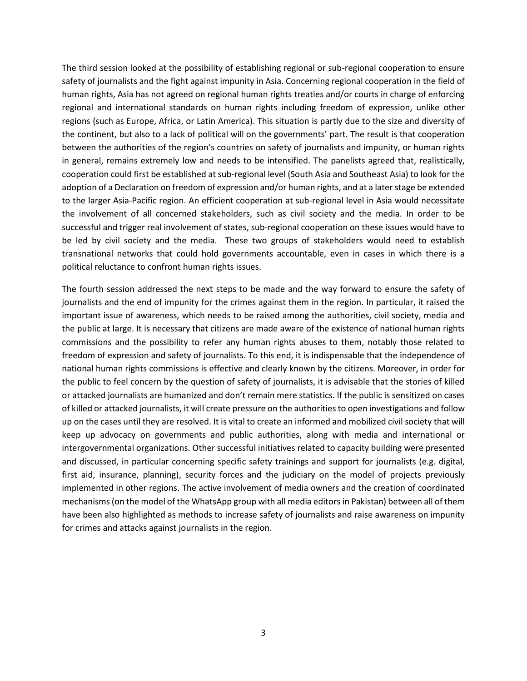The third session looked at the possibility of establishing regional or sub-regional cooperation to ensure safety of journalists and the fight against impunity in Asia. Concerning regional cooperation in the field of human rights, Asia has not agreed on regional human rights treaties and/or courts in charge of enforcing regional and international standards on human rights including freedom of expression, unlike other regions (such as Europe, Africa, or Latin America). This situation is partly due to the size and diversity of the continent, but also to a lack of political will on the governments' part. The result is that cooperation between the authorities of the region's countries on safety of journalists and impunity, or human rights in general, remains extremely low and needs to be intensified. The panelists agreed that, realistically, cooperation could first be established at sub-regional level (South Asia and Southeast Asia) to look for the adoption of a Declaration on freedom of expression and/or human rights, and at a later stage be extended to the larger Asia-Pacific region. An efficient cooperation at sub-regional level in Asia would necessitate the involvement of all concerned stakeholders, such as civil society and the media. In order to be successful and trigger real involvement of states, sub-regional cooperation on these issues would have to be led by civil society and the media. These two groups of stakeholders would need to establish transnational networks that could hold governments accountable, even in cases in which there is a political reluctance to confront human rights issues.

The fourth session addressed the next steps to be made and the way forward to ensure the safety of journalists and the end of impunity for the crimes against them in the region. In particular, it raised the important issue of awareness, which needs to be raised among the authorities, civil society, media and the public at large. It is necessary that citizens are made aware of the existence of national human rights commissions and the possibility to refer any human rights abuses to them, notably those related to freedom of expression and safety of journalists. To this end, it is indispensable that the independence of national human rights commissions is effective and clearly known by the citizens. Moreover, in order for the public to feel concern by the question of safety of journalists, it is advisable that the stories of killed or attacked journalists are humanized and don't remain mere statistics. If the public is sensitized on cases of killed or attacked journalists, it will create pressure on the authorities to open investigations and follow up on the cases until they are resolved. It is vital to create an informed and mobilized civil society that will keep up advocacy on governments and public authorities, along with media and international or intergovernmental organizations. Other successful initiatives related to capacity building were presented and discussed, in particular concerning specific safety trainings and support for journalists (e.g. digital, first aid, insurance, planning), security forces and the judiciary on the model of projects previously implemented in other regions. The active involvement of media owners and the creation of coordinated mechanisms(on the model of the WhatsApp group with all media editorsin Pakistan) between all of them have been also highlighted as methods to increase safety of journalists and raise awareness on impunity for crimes and attacks against journalists in the region.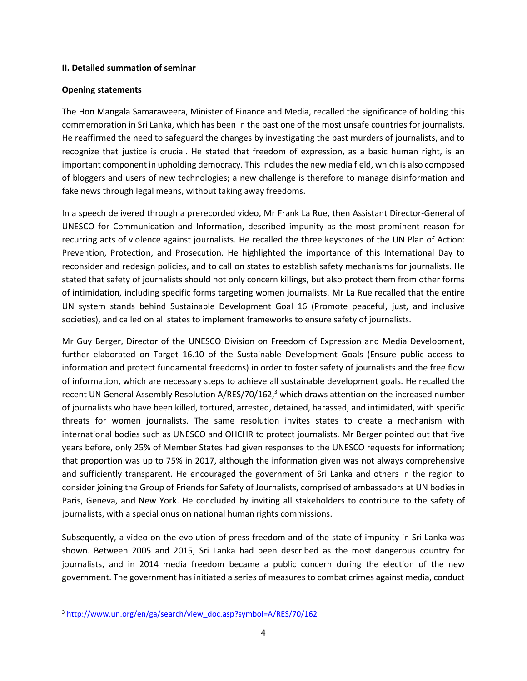#### **II. Detailed summation of seminar**

#### **Opening statements**

The Hon Mangala Samaraweera, Minister of Finance and Media, recalled the significance of holding this commemoration in Sri Lanka, which has been in the past one of the most unsafe countries for journalists. He reaffirmed the need to safeguard the changes by investigating the past murders of journalists, and to recognize that justice is crucial. He stated that freedom of expression, as a basic human right, is an important component in upholding democracy. This includes the new media field, which is also composed of bloggers and users of new technologies; a new challenge is therefore to manage disinformation and fake news through legal means, without taking away freedoms.

In a speech delivered through a prerecorded video, Mr Frank La Rue, then Assistant Director-General of UNESCO for Communication and Information, described impunity as the most prominent reason for recurring acts of violence against journalists. He recalled the three keystones of the UN Plan of Action: Prevention, Protection, and Prosecution. He highlighted the importance of this International Day to reconsider and redesign policies, and to call on states to establish safety mechanisms for journalists. He stated that safety of journalists should not only concern killings, but also protect them from other forms of intimidation, including specific forms targeting women journalists. Mr La Rue recalled that the entire UN system stands behind Sustainable Development Goal 16 (Promote peaceful, just, and inclusive societies), and called on all states to implement frameworks to ensure safety of journalists.

Mr Guy Berger, Director of the UNESCO Division on Freedom of Expression and Media Development, further elaborated on Target 16.10 of the Sustainable Development Goals (Ensure public access to information and protect fundamental freedoms) in order to foster safety of journalists and the free flow of information, which are necessary steps to achieve all sustainable development goals. He recalled the recent UN General Assembly Resolution A/RES/70/162,<sup>3</sup> which draws attention on the increased number of journalists who have been killed, tortured, arrested, detained, harassed, and intimidated, with specific threats for women journalists. The same resolution invites states to create a mechanism with international bodies such as UNESCO and OHCHR to protect journalists. Mr Berger pointed out that five years before, only 25% of Member States had given responses to the UNESCO requests for information; that proportion was up to 75% in 2017, although the information given was not always comprehensive and sufficiently transparent. He encouraged the government of Sri Lanka and others in the region to consider joining the Group of Friends for Safety of Journalists, comprised of ambassadors at UN bodies in Paris, Geneva, and New York. He concluded by inviting all stakeholders to contribute to the safety of journalists, with a special onus on national human rights commissions.

Subsequently, a video on the evolution of press freedom and of the state of impunity in Sri Lanka was shown. Between 2005 and 2015, Sri Lanka had been described as the most dangerous country for journalists, and in 2014 media freedom became a public concern during the election of the new government. The government has initiated a series of measures to combat crimes against media, conduct

 $\overline{\phantom{a}}$ 

<sup>&</sup>lt;sup>3</sup> [http://www.un.org/en/ga/search/view\\_doc.asp?symbol=A/RES/70/162](http://www.un.org/en/ga/search/view_doc.asp?symbol=A/RES/70/162)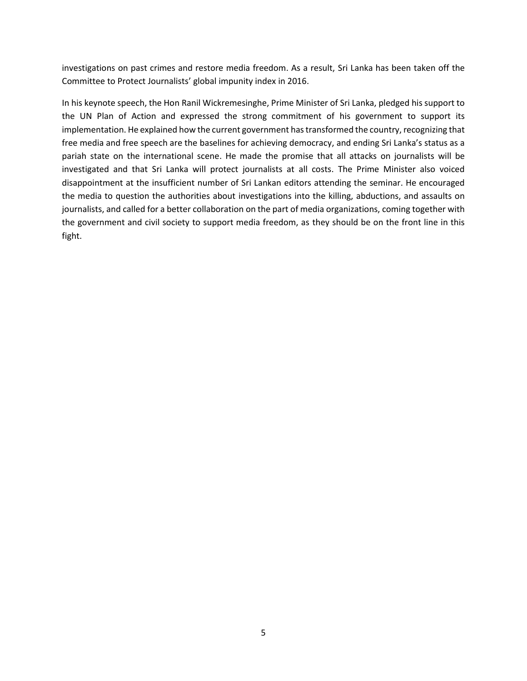investigations on past crimes and restore media freedom. As a result, Sri Lanka has been taken off the Committee to Protect Journalists' global impunity index in 2016.

In his keynote speech, the Hon Ranil Wickremesinghe, Prime Minister of Sri Lanka, pledged his support to the UN Plan of Action and expressed the strong commitment of his government to support its implementation. He explained how the current government has transformed the country, recognizing that free media and free speech are the baselines for achieving democracy, and ending Sri Lanka's status as a pariah state on the international scene. He made the promise that all attacks on journalists will be investigated and that Sri Lanka will protect journalists at all costs. The Prime Minister also voiced disappointment at the insufficient number of Sri Lankan editors attending the seminar. He encouraged the media to question the authorities about investigations into the killing, abductions, and assaults on journalists, and called for a better collaboration on the part of media organizations, coming together with the government and civil society to support media freedom, as they should be on the front line in this fight.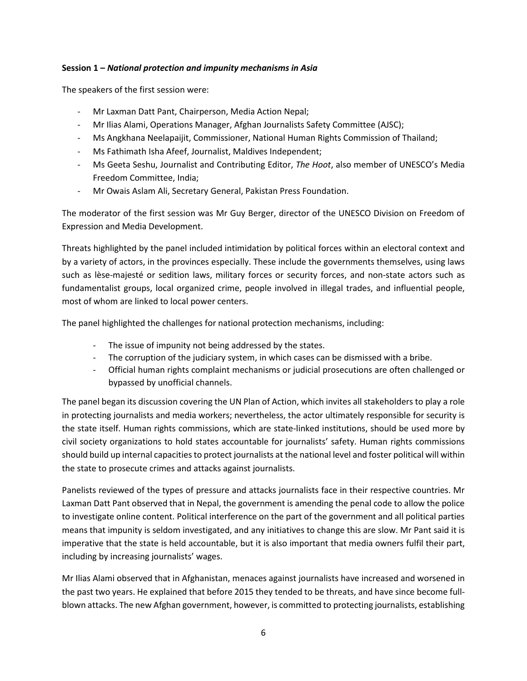### **Session 1 –** *National protection and impunity mechanisms in Asia*

The speakers of the first session were:

- Mr Laxman Datt Pant, Chairperson, Media Action Nepal;
- Mr Ilias Alami, Operations Manager, Afghan Journalists Safety Committee (AJSC);
- Ms Angkhana Neelapaijit, Commissioner, National Human Rights Commission of Thailand;
- Ms Fathimath Isha Afeef, Journalist, Maldives Independent;
- Ms Geeta Seshu, Journalist and Contributing Editor, *The Hoot*, also member of UNESCO's Media Freedom Committee, India;
- Mr Owais Aslam Ali, Secretary General, Pakistan Press Foundation.

The moderator of the first session was Mr Guy Berger, director of the UNESCO Division on Freedom of Expression and Media Development.

Threats highlighted by the panel included intimidation by political forces within an electoral context and by a variety of actors, in the provinces especially. These include the governments themselves, using laws such as lèse-majesté or sedition laws, military forces or security forces, and non-state actors such as fundamentalist groups, local organized crime, people involved in illegal trades, and influential people, most of whom are linked to local power centers.

The panel highlighted the challenges for national protection mechanisms, including:

- The issue of impunity not being addressed by the states.
- The corruption of the judiciary system, in which cases can be dismissed with a bribe.
- Official human rights complaint mechanisms or judicial prosecutions are often challenged or bypassed by unofficial channels.

The panel began its discussion covering the UN Plan of Action, which invites all stakeholders to play a role in protecting journalists and media workers; nevertheless, the actor ultimately responsible for security is the state itself. Human rights commissions, which are state-linked institutions, should be used more by civil society organizations to hold states accountable for journalists' safety. Human rights commissions should build up internal capacities to protect journalists at the national level and foster political will within the state to prosecute crimes and attacks against journalists.

Panelists reviewed of the types of pressure and attacks journalists face in their respective countries. Mr Laxman Datt Pant observed that in Nepal, the government is amending the penal code to allow the police to investigate online content. Political interference on the part of the government and all political parties means that impunity is seldom investigated, and any initiatives to change this are slow. Mr Pant said it is imperative that the state is held accountable, but it is also important that media owners fulfil their part, including by increasing journalists' wages.

Mr Ilias Alami observed that in Afghanistan, menaces against journalists have increased and worsened in the past two years. He explained that before 2015 they tended to be threats, and have since become fullblown attacks. The new Afghan government, however, is committed to protecting journalists, establishing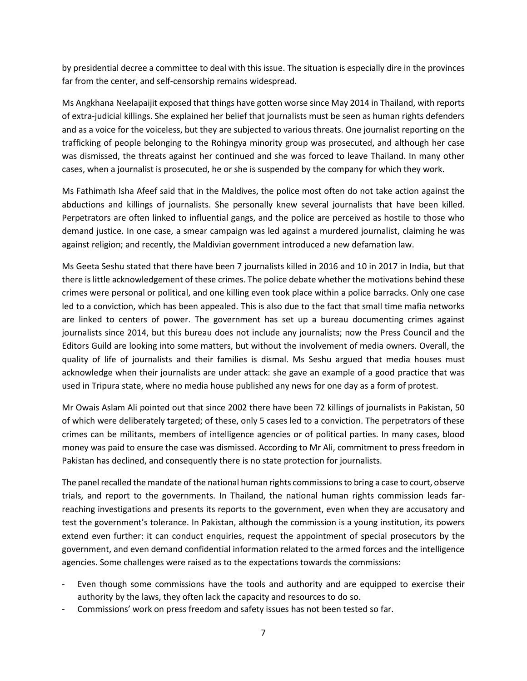by presidential decree a committee to deal with this issue. The situation is especially dire in the provinces far from the center, and self-censorship remains widespread.

Ms Angkhana Neelapaijit exposed that things have gotten worse since May 2014 in Thailand, with reports of extra-judicial killings. She explained her belief that journalists must be seen as human rights defenders and as a voice for the voiceless, but they are subjected to various threats. One journalist reporting on the trafficking of people belonging to the Rohingya minority group was prosecuted, and although her case was dismissed, the threats against her continued and she was forced to leave Thailand. In many other cases, when a journalist is prosecuted, he or she is suspended by the company for which they work.

Ms Fathimath Isha Afeef said that in the Maldives, the police most often do not take action against the abductions and killings of journalists. She personally knew several journalists that have been killed. Perpetrators are often linked to influential gangs, and the police are perceived as hostile to those who demand justice. In one case, a smear campaign was led against a murdered journalist, claiming he was against religion; and recently, the Maldivian government introduced a new defamation law.

Ms Geeta Seshu stated that there have been 7 journalists killed in 2016 and 10 in 2017 in India, but that there is little acknowledgement of these crimes. The police debate whether the motivations behind these crimes were personal or political, and one killing even took place within a police barracks. Only one case led to a conviction, which has been appealed. This is also due to the fact that small time mafia networks are linked to centers of power. The government has set up a bureau documenting crimes against journalists since 2014, but this bureau does not include any journalists; now the Press Council and the Editors Guild are looking into some matters, but without the involvement of media owners. Overall, the quality of life of journalists and their families is dismal. Ms Seshu argued that media houses must acknowledge when their journalists are under attack: she gave an example of a good practice that was used in Tripura state, where no media house published any news for one day as a form of protest.

Mr Owais Aslam Ali pointed out that since 2002 there have been 72 killings of journalists in Pakistan, 50 of which were deliberately targeted; of these, only 5 cases led to a conviction. The perpetrators of these crimes can be militants, members of intelligence agencies or of political parties. In many cases, blood money was paid to ensure the case was dismissed. According to Mr Ali, commitment to press freedom in Pakistan has declined, and consequently there is no state protection for journalists.

The panel recalled the mandate of the national human rights commissionsto bring a case to court, observe trials, and report to the governments. In Thailand, the national human rights commission leads farreaching investigations and presents its reports to the government, even when they are accusatory and test the government's tolerance. In Pakistan, although the commission is a young institution, its powers extend even further: it can conduct enquiries, request the appointment of special prosecutors by the government, and even demand confidential information related to the armed forces and the intelligence agencies. Some challenges were raised as to the expectations towards the commissions:

- Even though some commissions have the tools and authority and are equipped to exercise their authority by the laws, they often lack the capacity and resources to do so.
- Commissions' work on press freedom and safety issues has not been tested so far.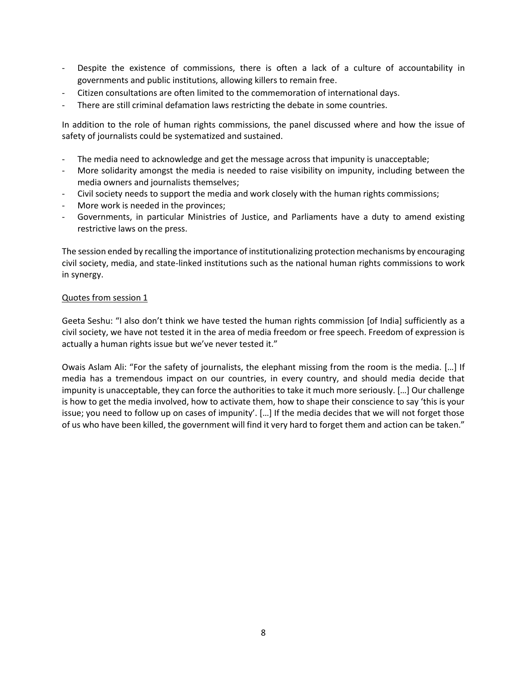- Despite the existence of commissions, there is often a lack of a culture of accountability in governments and public institutions, allowing killers to remain free.
- Citizen consultations are often limited to the commemoration of international days.
- There are still criminal defamation laws restricting the debate in some countries.

In addition to the role of human rights commissions, the panel discussed where and how the issue of safety of journalists could be systematized and sustained.

- The media need to acknowledge and get the message across that impunity is unacceptable;
- More solidarity amongst the media is needed to raise visibility on impunity, including between the media owners and journalists themselves;
- Civil society needs to support the media and work closely with the human rights commissions;
- More work is needed in the provinces;
- Governments, in particular Ministries of Justice, and Parliaments have a duty to amend existing restrictive laws on the press.

The session ended by recalling the importance of institutionalizing protection mechanisms by encouraging civil society, media, and state-linked institutions such as the national human rights commissions to work in synergy.

#### Quotes from session 1

Geeta Seshu: "I also don't think we have tested the human rights commission [of India] sufficiently as a civil society, we have not tested it in the area of media freedom or free speech. Freedom of expression is actually a human rights issue but we've never tested it."

Owais Aslam Ali: "For the safety of journalists, the elephant missing from the room is the media. […] If media has a tremendous impact on our countries, in every country, and should media decide that impunity is unacceptable, they can force the authorities to take it much more seriously. […] Our challenge is how to get the media involved, how to activate them, how to shape their conscience to say 'this is your issue; you need to follow up on cases of impunity'. […] If the media decides that we will not forget those of us who have been killed, the government will find it very hard to forget them and action can be taken."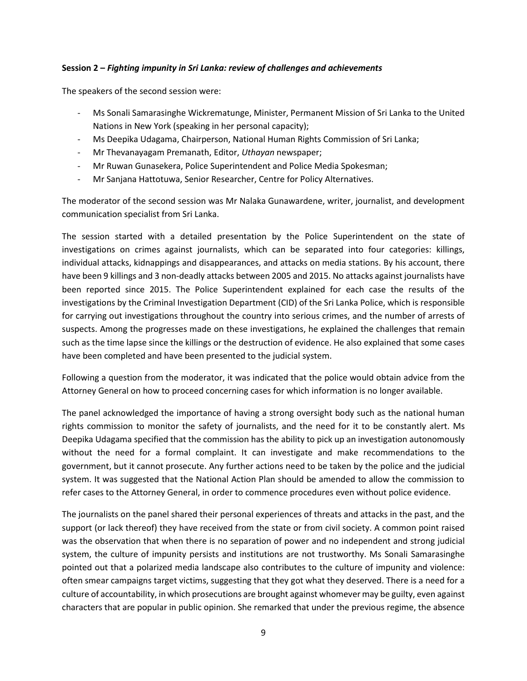### **Session 2 –** *Fighting impunity in Sri Lanka: review of challenges and achievements*

The speakers of the second session were:

- Ms Sonali Samarasinghe Wickrematunge, Minister, Permanent Mission of Sri Lanka to the United Nations in New York (speaking in her personal capacity);
- Ms Deepika Udagama, Chairperson, National Human Rights Commission of Sri Lanka;
- Mr Thevanayagam Premanath, Editor, *Uthayan* newspaper;
- Mr Ruwan Gunasekera, Police Superintendent and Police Media Spokesman;
- Mr Sanjana Hattotuwa, Senior Researcher, Centre for Policy Alternatives.

The moderator of the second session was Mr Nalaka Gunawardene, writer, journalist, and development communication specialist from Sri Lanka.

The session started with a detailed presentation by the Police Superintendent on the state of investigations on crimes against journalists, which can be separated into four categories: killings, individual attacks, kidnappings and disappearances, and attacks on media stations. By his account, there have been 9 killings and 3 non-deadly attacks between 2005 and 2015. No attacks against journalists have been reported since 2015. The Police Superintendent explained for each case the results of the investigations by the Criminal Investigation Department (CID) of the Sri Lanka Police, which is responsible for carrying out investigations throughout the country into serious crimes, and the number of arrests of suspects. Among the progresses made on these investigations, he explained the challenges that remain such as the time lapse since the killings or the destruction of evidence. He also explained that some cases have been completed and have been presented to the judicial system.

Following a question from the moderator, it was indicated that the police would obtain advice from the Attorney General on how to proceed concerning cases for which information is no longer available.

The panel acknowledged the importance of having a strong oversight body such as the national human rights commission to monitor the safety of journalists, and the need for it to be constantly alert. Ms Deepika Udagama specified that the commission has the ability to pick up an investigation autonomously without the need for a formal complaint. It can investigate and make recommendations to the government, but it cannot prosecute. Any further actions need to be taken by the police and the judicial system. It was suggested that the National Action Plan should be amended to allow the commission to refer cases to the Attorney General, in order to commence procedures even without police evidence.

The journalists on the panel shared their personal experiences of threats and attacks in the past, and the support (or lack thereof) they have received from the state or from civil society. A common point raised was the observation that when there is no separation of power and no independent and strong judicial system, the culture of impunity persists and institutions are not trustworthy. Ms Sonali Samarasinghe pointed out that a polarized media landscape also contributes to the culture of impunity and violence: often smear campaigns target victims, suggesting that they got what they deserved. There is a need for a culture of accountability, in which prosecutions are brought against whomever may be guilty, even against characters that are popular in public opinion. She remarked that under the previous regime, the absence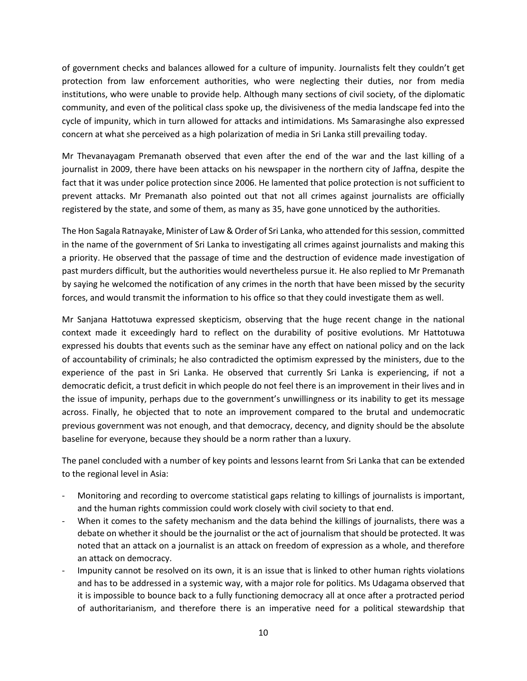of government checks and balances allowed for a culture of impunity. Journalists felt they couldn't get protection from law enforcement authorities, who were neglecting their duties, nor from media institutions, who were unable to provide help. Although many sections of civil society, of the diplomatic community, and even of the political class spoke up, the divisiveness of the media landscape fed into the cycle of impunity, which in turn allowed for attacks and intimidations. Ms Samarasinghe also expressed concern at what she perceived as a high polarization of media in Sri Lanka still prevailing today.

Mr Thevanayagam Premanath observed that even after the end of the war and the last killing of a journalist in 2009, there have been attacks on his newspaper in the northern city of Jaffna, despite the fact that it was under police protection since 2006. He lamented that police protection is not sufficient to prevent attacks. Mr Premanath also pointed out that not all crimes against journalists are officially registered by the state, and some of them, as many as 35, have gone unnoticed by the authorities.

The Hon Sagala Ratnayake, Minister of Law & Order of Sri Lanka, who attended for this session, committed in the name of the government of Sri Lanka to investigating all crimes against journalists and making this a priority. He observed that the passage of time and the destruction of evidence made investigation of past murders difficult, but the authorities would nevertheless pursue it. He also replied to Mr Premanath by saying he welcomed the notification of any crimes in the north that have been missed by the security forces, and would transmit the information to his office so that they could investigate them as well.

Mr Sanjana Hattotuwa expressed skepticism, observing that the huge recent change in the national context made it exceedingly hard to reflect on the durability of positive evolutions. Mr Hattotuwa expressed his doubts that events such as the seminar have any effect on national policy and on the lack of accountability of criminals; he also contradicted the optimism expressed by the ministers, due to the experience of the past in Sri Lanka. He observed that currently Sri Lanka is experiencing, if not a democratic deficit, a trust deficit in which people do not feel there is an improvement in their lives and in the issue of impunity, perhaps due to the government's unwillingness or its inability to get its message across. Finally, he objected that to note an improvement compared to the brutal and undemocratic previous government was not enough, and that democracy, decency, and dignity should be the absolute baseline for everyone, because they should be a norm rather than a luxury.

The panel concluded with a number of key points and lessons learnt from Sri Lanka that can be extended to the regional level in Asia:

- Monitoring and recording to overcome statistical gaps relating to killings of journalists is important, and the human rights commission could work closely with civil society to that end.
- When it comes to the safety mechanism and the data behind the killings of journalists, there was a debate on whether it should be the journalist or the act of journalism that should be protected. It was noted that an attack on a journalist is an attack on freedom of expression as a whole, and therefore an attack on democracy.
- Impunity cannot be resolved on its own, it is an issue that is linked to other human rights violations and has to be addressed in a systemic way, with a major role for politics. Ms Udagama observed that it is impossible to bounce back to a fully functioning democracy all at once after a protracted period of authoritarianism, and therefore there is an imperative need for a political stewardship that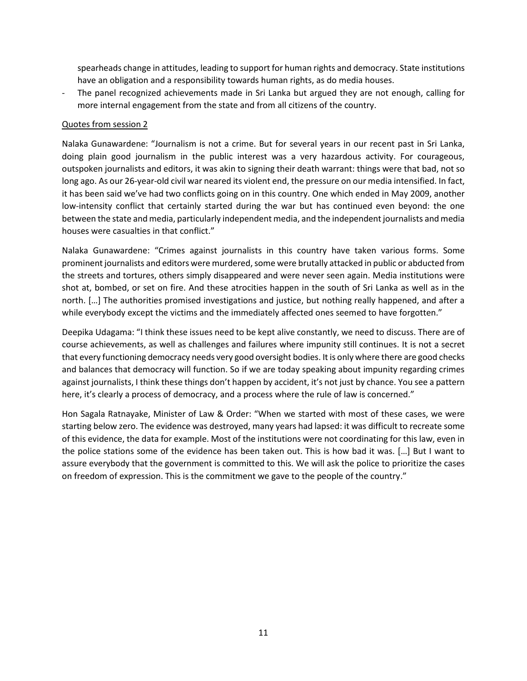spearheads change in attitudes, leading to support for human rights and democracy. State institutions have an obligation and a responsibility towards human rights, as do media houses.

- The panel recognized achievements made in Sri Lanka but argued they are not enough, calling for more internal engagement from the state and from all citizens of the country.

### Quotes from session 2

Nalaka Gunawardene: "Journalism is not a crime. But for several years in our recent past in Sri Lanka, doing plain good journalism in the public interest was a very hazardous activity. For courageous, outspoken journalists and editors, it was akin to signing their death warrant: things were that bad, not so long ago. As our 26-year-old civil war neared its violent end, the pressure on our media intensified. In fact, it has been said we've had two conflicts going on in this country. One which ended in May 2009, another low-intensity conflict that certainly started during the war but has continued even beyond: the one between the state and media, particularly independent media, and the independent journalists and media houses were casualties in that conflict."

Nalaka Gunawardene: "Crimes against journalists in this country have taken various forms. Some prominent journalists and editors were murdered, some were brutally attacked in public or abducted from the streets and tortures, others simply disappeared and were never seen again. Media institutions were shot at, bombed, or set on fire. And these atrocities happen in the south of Sri Lanka as well as in the north. […] The authorities promised investigations and justice, but nothing really happened, and after a while everybody except the victims and the immediately affected ones seemed to have forgotten."

Deepika Udagama: "I think these issues need to be kept alive constantly, we need to discuss. There are of course achievements, as well as challenges and failures where impunity still continues. It is not a secret that every functioning democracy needs very good oversight bodies. It is only where there are good checks and balances that democracy will function. So if we are today speaking about impunity regarding crimes against journalists, I think these things don't happen by accident, it's not just by chance. You see a pattern here, it's clearly a process of democracy, and a process where the rule of law is concerned."

Hon Sagala Ratnayake, Minister of Law & Order: "When we started with most of these cases, we were starting below zero. The evidence was destroyed, many years had lapsed: it was difficult to recreate some of this evidence, the data for example. Most of the institutions were not coordinating for this law, even in the police stations some of the evidence has been taken out. This is how bad it was. […] But I want to assure everybody that the government is committed to this. We will ask the police to prioritize the cases on freedom of expression. This is the commitment we gave to the people of the country."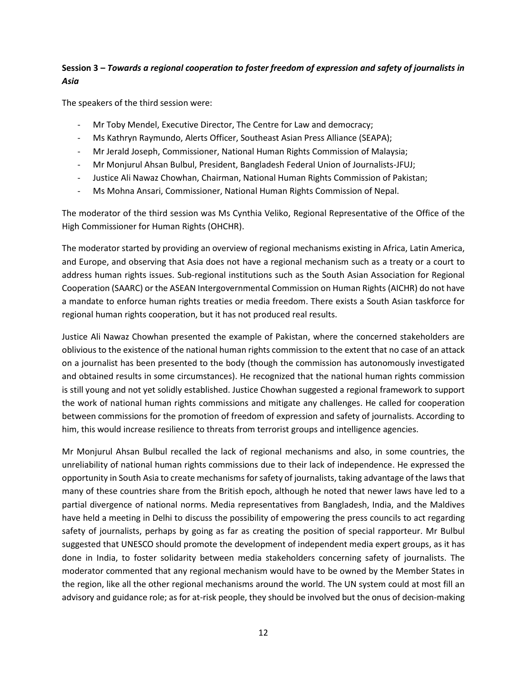# **Session 3 –** *Towards a regional cooperation to foster freedom of expression and safety of journalists in Asia*

The speakers of the third session were:

- Mr Toby Mendel, Executive Director, The Centre for Law and democracy;
- Ms Kathryn Raymundo, Alerts Officer, Southeast Asian Press Alliance (SEAPA);
- Mr Jerald Joseph, Commissioner, National Human Rights Commission of Malaysia;
- Mr Monjurul Ahsan Bulbul, President, Bangladesh Federal Union of Journalists-JFUJ;
- Justice Ali Nawaz Chowhan, Chairman, National Human Rights Commission of Pakistan;
- Ms Mohna Ansari, Commissioner, National Human Rights Commission of Nepal.

The moderator of the third session was Ms Cynthia Veliko, Regional Representative of the Office of the High Commissioner for Human Rights (OHCHR).

The moderator started by providing an overview of regional mechanisms existing in Africa, Latin America, and Europe, and observing that Asia does not have a regional mechanism such as a treaty or a court to address human rights issues. Sub-regional institutions such as the South Asian Association for Regional Cooperation (SAARC) or the ASEAN Intergovernmental Commission on Human Rights (AICHR) do not have a mandate to enforce human rights treaties or media freedom. There exists a South Asian taskforce for regional human rights cooperation, but it has not produced real results.

Justice Ali Nawaz Chowhan presented the example of Pakistan, where the concerned stakeholders are oblivious to the existence of the national human rights commission to the extent that no case of an attack on a journalist has been presented to the body (though the commission has autonomously investigated and obtained results in some circumstances). He recognized that the national human rights commission is still young and not yet solidly established. Justice Chowhan suggested a regional framework to support the work of national human rights commissions and mitigate any challenges. He called for cooperation between commissions for the promotion of freedom of expression and safety of journalists. According to him, this would increase resilience to threats from terrorist groups and intelligence agencies.

Mr Monjurul Ahsan Bulbul recalled the lack of regional mechanisms and also, in some countries, the unreliability of national human rights commissions due to their lack of independence. He expressed the opportunity in South Asia to create mechanisms for safety of journalists, taking advantage of the laws that many of these countries share from the British epoch, although he noted that newer laws have led to a partial divergence of national norms. Media representatives from Bangladesh, India, and the Maldives have held a meeting in Delhi to discuss the possibility of empowering the press councils to act regarding safety of journalists, perhaps by going as far as creating the position of special rapporteur. Mr Bulbul suggested that UNESCO should promote the development of independent media expert groups, as it has done in India, to foster solidarity between media stakeholders concerning safety of journalists. The moderator commented that any regional mechanism would have to be owned by the Member States in the region, like all the other regional mechanisms around the world. The UN system could at most fill an advisory and guidance role; as for at-risk people, they should be involved but the onus of decision-making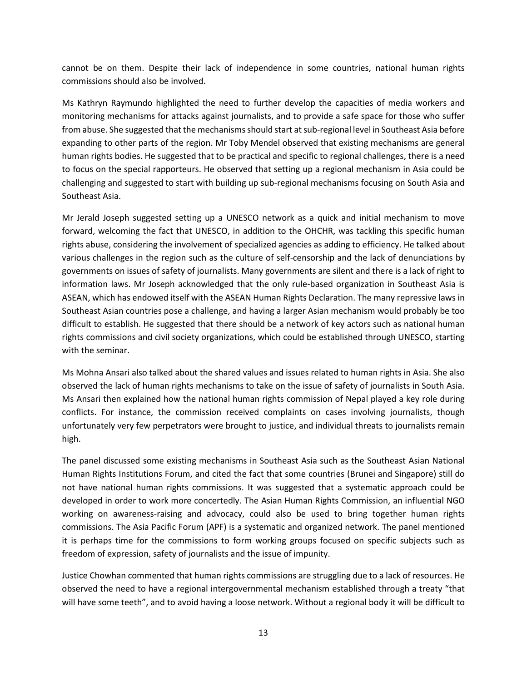cannot be on them. Despite their lack of independence in some countries, national human rights commissions should also be involved.

Ms Kathryn Raymundo highlighted the need to further develop the capacities of media workers and monitoring mechanisms for attacks against journalists, and to provide a safe space for those who suffer from abuse. She suggested that the mechanisms should start at sub-regional level in Southeast Asia before expanding to other parts of the region. Mr Toby Mendel observed that existing mechanisms are general human rights bodies. He suggested that to be practical and specific to regional challenges, there is a need to focus on the special rapporteurs. He observed that setting up a regional mechanism in Asia could be challenging and suggested to start with building up sub-regional mechanisms focusing on South Asia and Southeast Asia.

Mr Jerald Joseph suggested setting up a UNESCO network as a quick and initial mechanism to move forward, welcoming the fact that UNESCO, in addition to the OHCHR, was tackling this specific human rights abuse, considering the involvement of specialized agencies as adding to efficiency. He talked about various challenges in the region such as the culture of self-censorship and the lack of denunciations by governments on issues of safety of journalists. Many governments are silent and there is a lack of right to information laws. Mr Joseph acknowledged that the only rule-based organization in Southeast Asia is ASEAN, which has endowed itself with the ASEAN Human Rights Declaration. The many repressive laws in Southeast Asian countries pose a challenge, and having a larger Asian mechanism would probably be too difficult to establish. He suggested that there should be a network of key actors such as national human rights commissions and civil society organizations, which could be established through UNESCO, starting with the seminar.

Ms Mohna Ansari also talked about the shared values and issues related to human rights in Asia. She also observed the lack of human rights mechanisms to take on the issue of safety of journalists in South Asia. Ms Ansari then explained how the national human rights commission of Nepal played a key role during conflicts. For instance, the commission received complaints on cases involving journalists, though unfortunately very few perpetrators were brought to justice, and individual threats to journalists remain high.

The panel discussed some existing mechanisms in Southeast Asia such as the Southeast Asian National Human Rights Institutions Forum, and cited the fact that some countries (Brunei and Singapore) still do not have national human rights commissions. It was suggested that a systematic approach could be developed in order to work more concertedly. The Asian Human Rights Commission, an influential NGO working on awareness-raising and advocacy, could also be used to bring together human rights commissions. The Asia Pacific Forum (APF) is a systematic and organized network. The panel mentioned it is perhaps time for the commissions to form working groups focused on specific subjects such as freedom of expression, safety of journalists and the issue of impunity.

Justice Chowhan commented that human rights commissions are struggling due to a lack of resources. He observed the need to have a regional intergovernmental mechanism established through a treaty "that will have some teeth", and to avoid having a loose network. Without a regional body it will be difficult to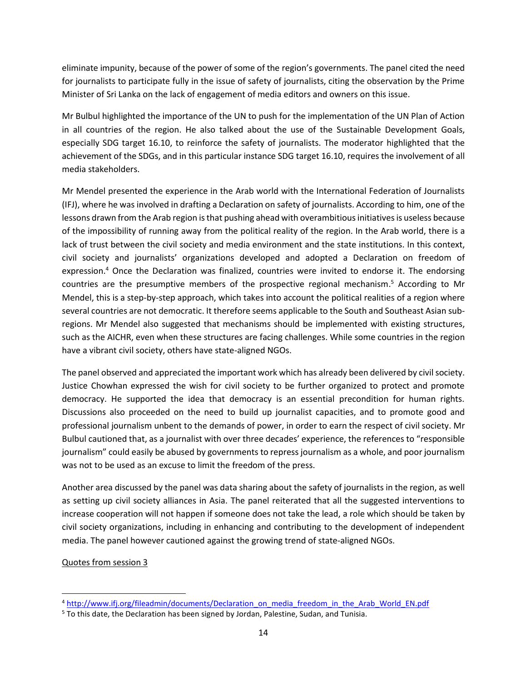eliminate impunity, because of the power of some of the region's governments. The panel cited the need for journalists to participate fully in the issue of safety of journalists, citing the observation by the Prime Minister of Sri Lanka on the lack of engagement of media editors and owners on this issue.

Mr Bulbul highlighted the importance of the UN to push for the implementation of the UN Plan of Action in all countries of the region. He also talked about the use of the Sustainable Development Goals, especially SDG target 16.10, to reinforce the safety of journalists. The moderator highlighted that the achievement of the SDGs, and in this particular instance SDG target 16.10, requires the involvement of all media stakeholders.

Mr Mendel presented the experience in the Arab world with the International Federation of Journalists (IFJ), where he was involved in drafting a Declaration on safety of journalists. According to him, one of the lessons drawn from the Arab region is that pushing ahead with overambitious initiatives is useless because of the impossibility of running away from the political reality of the region. In the Arab world, there is a lack of trust between the civil society and media environment and the state institutions. In this context, civil society and journalists' organizations developed and adopted a Declaration on freedom of expression.<sup>4</sup> Once the Declaration was finalized, countries were invited to endorse it. The endorsing countries are the presumptive members of the prospective regional mechanism. <sup>5</sup> According to Mr Mendel, this is a step-by-step approach, which takes into account the political realities of a region where several countries are not democratic. It therefore seems applicable to the South and Southeast Asian subregions. Mr Mendel also suggested that mechanisms should be implemented with existing structures, such as the AICHR, even when these structures are facing challenges. While some countries in the region have a vibrant civil society, others have state-aligned NGOs.

The panel observed and appreciated the important work which has already been delivered by civil society. Justice Chowhan expressed the wish for civil society to be further organized to protect and promote democracy. He supported the idea that democracy is an essential precondition for human rights. Discussions also proceeded on the need to build up journalist capacities, and to promote good and professional journalism unbent to the demands of power, in order to earn the respect of civil society. Mr Bulbul cautioned that, as a journalist with over three decades' experience, the references to "responsible journalism" could easily be abused by governments to repress journalism as a whole, and poor journalism was not to be used as an excuse to limit the freedom of the press.

Another area discussed by the panel was data sharing about the safety of journalists in the region, as well as setting up civil society alliances in Asia. The panel reiterated that all the suggested interventions to increase cooperation will not happen if someone does not take the lead, a role which should be taken by civil society organizations, including in enhancing and contributing to the development of independent media. The panel however cautioned against the growing trend of state-aligned NGOs.

# Quotes from session 3

 $\overline{\phantom{a}}$ 

<sup>&</sup>lt;sup>4</sup> [http://www.ifj.org/fileadmin/documents/Declaration\\_on\\_media\\_freedom\\_in\\_the\\_Arab\\_World\\_EN.pdf](http://www.ifj.org/fileadmin/documents/Declaration_on_media_freedom_in_the_Arab_World_EN.pdf)

<sup>&</sup>lt;sup>5</sup> To this date, the Declaration has been signed by Jordan, Palestine, Sudan, and Tunisia.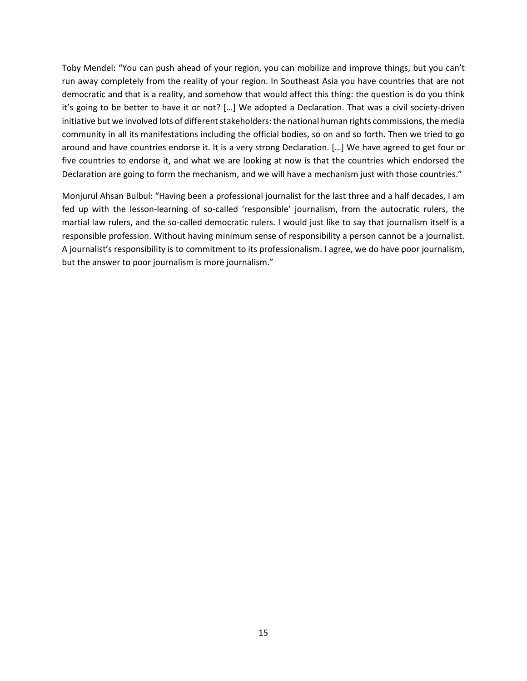Toby Mendel: "You can push ahead of your region, you can mobilize and improve things, but you can't run away completely from the reality of your region. In Southeast Asia you have countries that are not democratic and that is a reality, and somehow that would affect this thing: the question is do you think it's going to be better to have it or not? […] We adopted a Declaration. That was a civil society-driven initiative but we involved lots of different stakeholders: the national human rights commissions, the media community in all its manifestations including the official bodies, so on and so forth. Then we tried to go around and have countries endorse it. It is a very strong Declaration. […] We have agreed to get four or five countries to endorse it, and what we are looking at now is that the countries which endorsed the Declaration are going to form the mechanism, and we will have a mechanism just with those countries."

Monjurul Ahsan Bulbul: "Having been a professional journalist for the last three and a half decades, I am fed up with the lesson-learning of so-called 'responsible' journalism, from the autocratic rulers, the martial law rulers, and the so-called democratic rulers. I would just like to say that journalism itself is a responsible profession. Without having minimum sense of responsibility a person cannot be a journalist. A journalist's responsibility is to commitment to its professionalism. I agree, we do have poor journalism, but the answer to poor journalism is more journalism."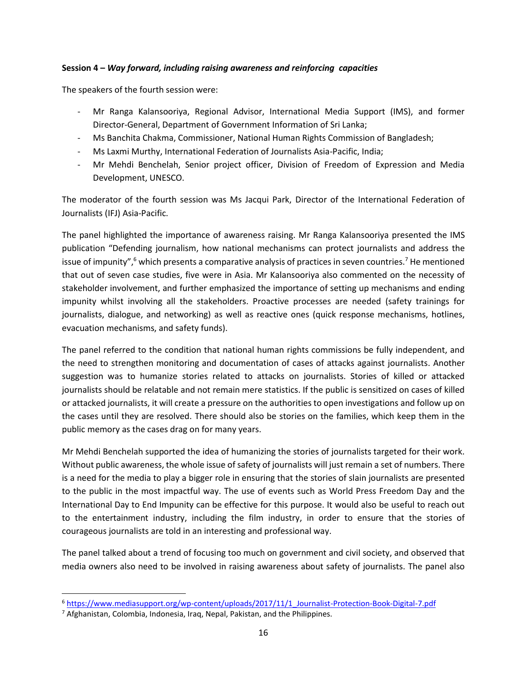### **Session 4 –** *Way forward, including raising awareness and reinforcing capacities*

The speakers of the fourth session were:

- Mr Ranga Kalansooriya, Regional Advisor, International Media Support (IMS), and former Director-General, Department of Government Information of Sri Lanka;
- Ms Banchita Chakma, Commissioner, National Human Rights Commission of Bangladesh;
- Ms Laxmi Murthy, International Federation of Journalists Asia-Pacific, India;
- Mr Mehdi Benchelah, Senior project officer, Division of Freedom of Expression and Media Development, UNESCO.

The moderator of the fourth session was Ms Jacqui Park, Director of the International Federation of Journalists (IFJ) Asia-Pacific.

The panel highlighted the importance of awareness raising. Mr Ranga Kalansooriya presented the IMS publication "Defending journalism, how national mechanisms can protect journalists and address the issue of impunity", $6$  which presents a comparative analysis of practices in seven countries.<sup>7</sup> He mentioned that out of seven case studies, five were in Asia. Mr Kalansooriya also commented on the necessity of stakeholder involvement, and further emphasized the importance of setting up mechanisms and ending impunity whilst involving all the stakeholders. Proactive processes are needed (safety trainings for journalists, dialogue, and networking) as well as reactive ones (quick response mechanisms, hotlines, evacuation mechanisms, and safety funds).

The panel referred to the condition that national human rights commissions be fully independent, and the need to strengthen monitoring and documentation of cases of attacks against journalists. Another suggestion was to humanize stories related to attacks on journalists. Stories of killed or attacked journalists should be relatable and not remain mere statistics. If the public is sensitized on cases of killed or attacked journalists, it will create a pressure on the authorities to open investigations and follow up on the cases until they are resolved. There should also be stories on the families, which keep them in the public memory as the cases drag on for many years.

Mr Mehdi Benchelah supported the idea of humanizing the stories of journalists targeted for their work. Without public awareness, the whole issue of safety of journalists will just remain a set of numbers. There is a need for the media to play a bigger role in ensuring that the stories of slain journalists are presented to the public in the most impactful way. The use of events such as World Press Freedom Day and the International Day to End Impunity can be effective for this purpose. It would also be useful to reach out to the entertainment industry, including the film industry, in order to ensure that the stories of courageous journalists are told in an interesting and professional way.

The panel talked about a trend of focusing too much on government and civil society, and observed that media owners also need to be involved in raising awareness about safety of journalists. The panel also

 $\overline{\phantom{a}}$ 

<sup>6</sup> [https://www.mediasupport.org/wp-content/uploads/2017/11/1\\_Journalist-Protection-Book-Digital-7.pdf](https://www.mediasupport.org/wp-content/uploads/2017/11/1_Journalist-Protection-Book-Digital-7.pdf)

<sup>&</sup>lt;sup>7</sup> Afghanistan, Colombia, Indonesia, Iraq, Nepal, Pakistan, and the Philippines.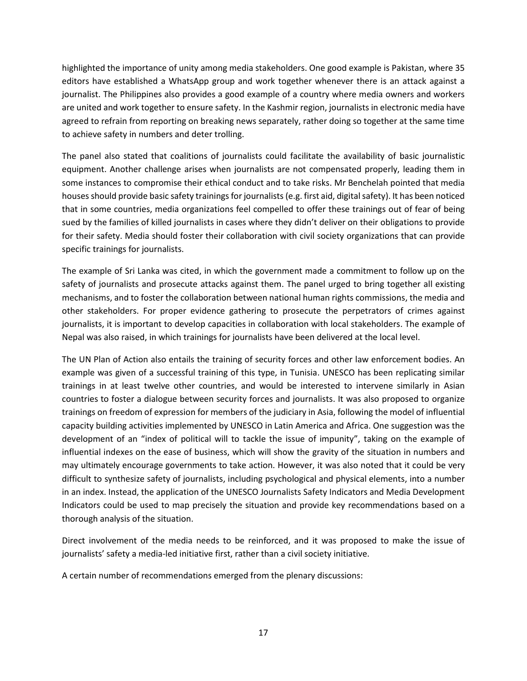highlighted the importance of unity among media stakeholders. One good example is Pakistan, where 35 editors have established a WhatsApp group and work together whenever there is an attack against a journalist. The Philippines also provides a good example of a country where media owners and workers are united and work together to ensure safety. In the Kashmir region, journalists in electronic media have agreed to refrain from reporting on breaking news separately, rather doing so together at the same time to achieve safety in numbers and deter trolling.

The panel also stated that coalitions of journalists could facilitate the availability of basic journalistic equipment. Another challenge arises when journalists are not compensated properly, leading them in some instances to compromise their ethical conduct and to take risks. Mr Benchelah pointed that media houses should provide basic safety trainings for journalists (e.g. first aid, digital safety). It has been noticed that in some countries, media organizations feel compelled to offer these trainings out of fear of being sued by the families of killed journalists in cases where they didn't deliver on their obligations to provide for their safety. Media should foster their collaboration with civil society organizations that can provide specific trainings for journalists.

The example of Sri Lanka was cited, in which the government made a commitment to follow up on the safety of journalists and prosecute attacks against them. The panel urged to bring together all existing mechanisms, and to foster the collaboration between national human rights commissions, the media and other stakeholders. For proper evidence gathering to prosecute the perpetrators of crimes against journalists, it is important to develop capacities in collaboration with local stakeholders. The example of Nepal was also raised, in which trainings for journalists have been delivered at the local level.

The UN Plan of Action also entails the training of security forces and other law enforcement bodies. An example was given of a successful training of this type, in Tunisia. UNESCO has been replicating similar trainings in at least twelve other countries, and would be interested to intervene similarly in Asian countries to foster a dialogue between security forces and journalists. It was also proposed to organize trainings on freedom of expression for members of the judiciary in Asia, following the model of influential capacity building activities implemented by UNESCO in Latin America and Africa. One suggestion was the development of an "index of political will to tackle the issue of impunity", taking on the example of influential indexes on the ease of business, which will show the gravity of the situation in numbers and may ultimately encourage governments to take action. However, it was also noted that it could be very difficult to synthesize safety of journalists, including psychological and physical elements, into a number in an index. Instead, the application of the UNESCO Journalists Safety Indicators and Media Development Indicators could be used to map precisely the situation and provide key recommendations based on a thorough analysis of the situation.

Direct involvement of the media needs to be reinforced, and it was proposed to make the issue of journalists' safety a media-led initiative first, rather than a civil society initiative.

A certain number of recommendations emerged from the plenary discussions: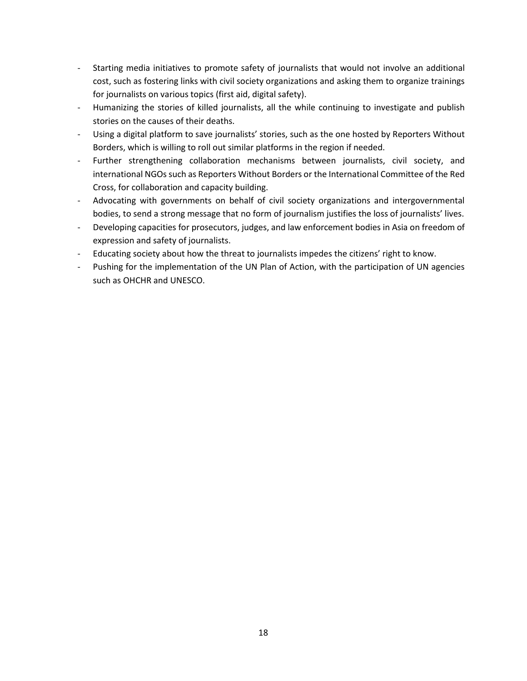- Starting media initiatives to promote safety of journalists that would not involve an additional cost, such as fostering links with civil society organizations and asking them to organize trainings for journalists on various topics (first aid, digital safety).
- Humanizing the stories of killed journalists, all the while continuing to investigate and publish stories on the causes of their deaths.
- Using a digital platform to save journalists' stories, such as the one hosted by Reporters Without Borders, which is willing to roll out similar platforms in the region if needed.
- Further strengthening collaboration mechanisms between journalists, civil society, and international NGOs such as Reporters Without Borders or the International Committee of the Red Cross, for collaboration and capacity building.
- Advocating with governments on behalf of civil society organizations and intergovernmental bodies, to send a strong message that no form of journalism justifies the loss of journalists' lives.
- Developing capacities for prosecutors, judges, and law enforcement bodies in Asia on freedom of expression and safety of journalists.
- Educating society about how the threat to journalists impedes the citizens' right to know.
- Pushing for the implementation of the UN Plan of Action, with the participation of UN agencies such as OHCHR and UNESCO.